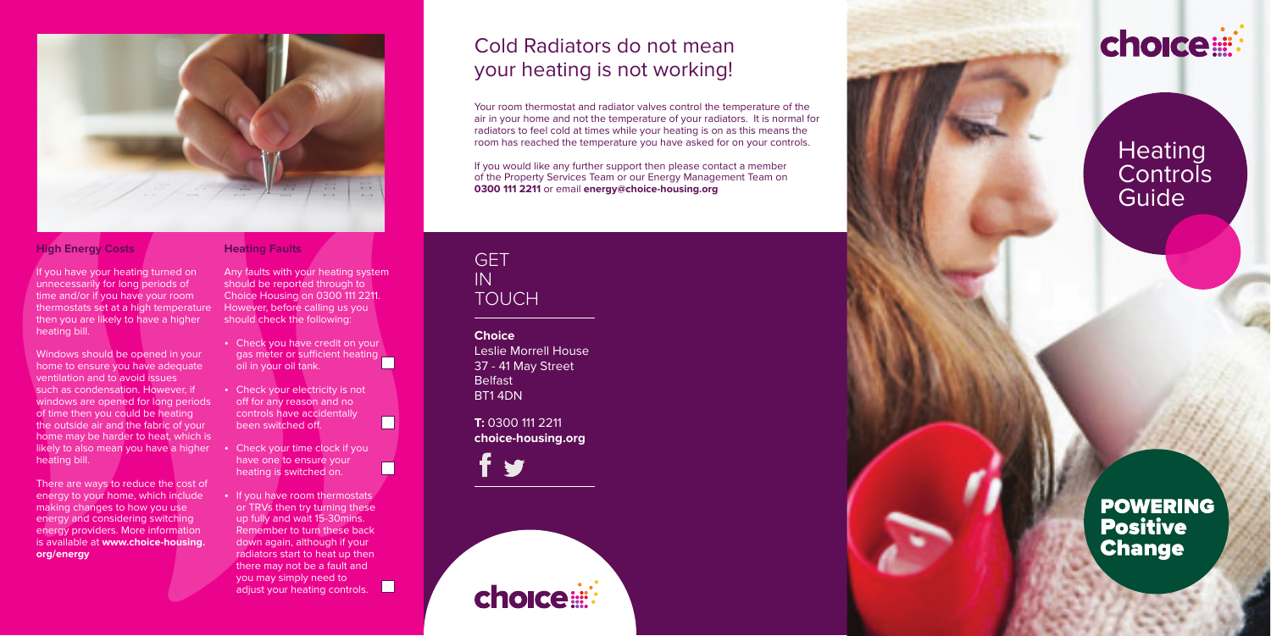**Choice** Leslie Morrell House 37 - 41 May Street **Belfast** BT1 4DN

**T:** 0300 111 2211 **choice-housing.org**







# **Heating Controls Guide**

**POWERING Positive Change** 

# Cold Radiators do not mean your heating is not working!

Your room thermostat and radiator valves control the temperature of the air in your home and not the temperature of your radiators. It is normal for radiators to feel cold at times while your heating is on as this means the room has reached the temperature you have asked for on your controls.

If you would like any further support then please contact a member of the Property Services Team or our Energy Management Team on **0300 111 2211** or email **energy@choice-housing.org**

## **GFT** IN **TOUCH**



### **High Energy Costs**

There are ways to reduce the cost of energy to your home, which include making changes to how you use energy and considering switching energy providers. More information is available at **www.choice-housing. org/energy** 

If you have your heating turned on unnecessarily for long periods of time and/or if you have your room thermostats set at a high temperature then you are likely to have a higher heating bill.

- Check you have credit on your gas meter or sufficient heating oil in your oil tank.
- Check your electricity is not off for any reason and no controls have accidentally been switched off.

- Check your time clock if you have one to ensure your heating is switched on.
- If you have room thermostats or TRVs then try turning these up fully and wait 15-30mins. Remember to turn these back down again, although if your radiators start to heat up then there may not be a fault and you may simply need to adjust your heating controls.

 $\Box$ 

Windows should be opened in your home to ensure you have adequate ventilation and to avoid issues such as condensation. However, if windows are opened for long periods of time then you could be heating the outside air and the fabric of your home may be harder to heat, which is likely to also mean you have a higher heating bill.

### **Heating Faults**

Any faults with your heating system should be reported through to Choice Housing on 0300 111 2211. However, before calling us you should check the following: